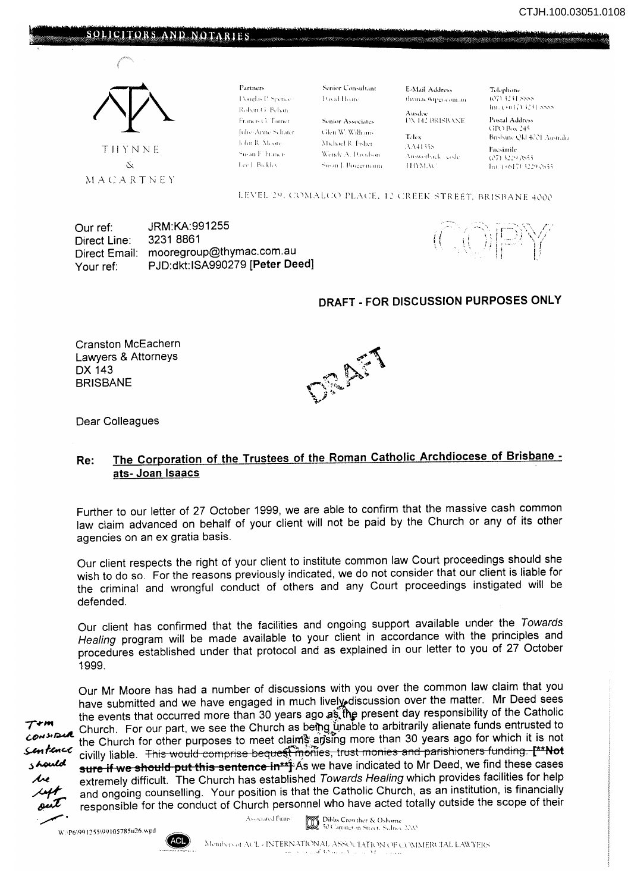



Partners. Douglas P. Spence Robert G. Behan-Francis G. Turner Julie-Anne Schater John R. Moore Susan F. Francis Lee L. Bickley.

Senior Consultant David Houre

t ikn \\' \\' \\'dli ms \lkh,Ll·]I, h,hcr Wendy A. Davidson

Susan I. Brussencom

**Senior Associates** 

E-Mail Address thymac@tisticom.in

**AUGE BRISBANE** 

Telex  $AA4135s$ Answerback code 111YM AC

telephone<br>()7) 3231 SSSS

Postal Address GPO Box 245 Brisbane Qld 4001 Australia

**Eacsimile** (e7) 3229 e855 Int. (+617) 3229 2855.

### LEVEL 29, COMALCO PLACE, 12 CREEK STREET, BRISBANE 4000

Our ref: JRM:KA:991255 Direct Line: Direct Email: Your ref: 3231 8861 mooregroup@thymac.com.au PJD:dkt:ISA990279 [Peter Deed]

 $\left(\frac{1}{2}\right)$ 

## DRAFT - FOR DISCUSSION PURPOSES ONLY

Cranston McEachern Lawyers & Attorneys DX 143 BRISBANE



Dear Colleagues

# Re: The Corporation of the Trustees of the Roman Catholic Archdiocese of Brisbane ats- Joan Isaacs

Further to our letter of 27 October 1999, we are able to confirm that the massive cash common law claim advanced on behalf of your client will not be paid by the Church or any of its other agencies on an ex gratia basis.

Our client respects the right of your client to institute common law Court proceedings should she wish to do so. For the reasons previously indicated, we do not consider that our client is liable for the criminal and wrongful conduct of others and any Court proceedings instigated will be defended.

Our client has confirmed that the facilities and ongoing support available under the Towards Healing program will be made available to your client in accordance with the principles and procedures established under that protocol and as explained in our letter to you of 27 October 1999.

 $\mathcal{L}$ .

Our Mr Moore has had a number of discussions with you over the common law claim that you have submitted and we have engaged in much lively discussion over the matter. Mr Deed sees the events that occurred more than 30 years ago as the present day responsibility of the Catholic 7 **- "**" Church. For our part, we see the Church as being unable to arbitrarily alienate funds entrusted to consider the pot  $\frac{\partial u}{\partial r}$  the Church for other purposes to meet claims and  $\frac{\partial u}{\partial r}$  and than 30 years ago for which it is not  $\frac{\partial u}{\partial r}$  that is not content to  $\frac{\partial u}{\partial r}$ . This would comprise becuse  $\frac{\partial u}{\partial r}$  that monies an **An rence** civilly liable. This would comprise bequest monies, trust monies and parishioners funding. [\*\*Not separation of the sense of the sense of the sense of the sense of the sense of the sense of the sense of the sens sure if we should put this sentence in\*\*]: As we have indicated to Mr Deed, we find these cases we extremely difficult. The Church has established Towards Healing which provides facilities for help<br>and ongoing counselling. Your position is that the Catholic Church, as an institution, is financially<br>and ongoing counse and ongoing counselling. Your position is that the Catholic Church, as an institution, is financially responsible for the conduct of Church personnel who have acted totally outside the scope of their

W:\P6\991255\99105785u26.wpd

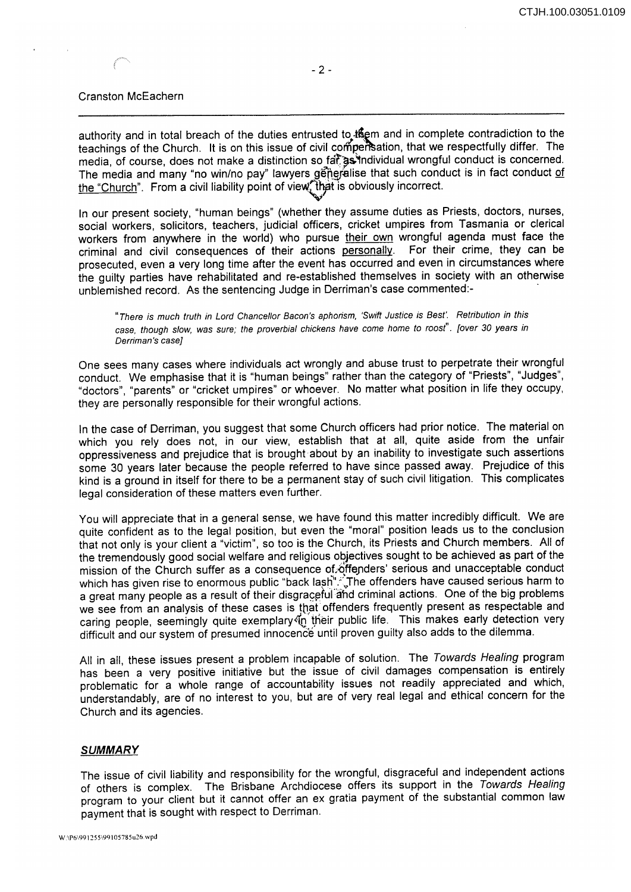#### Cranston McEachern

authority and in total breach of the duties entrusted to them and in complete contradiction to the teachings of the Church. It is on this issue of civil compersation, that we respectfully differ. The media, of course, does not make a distinction so fat as individual wrongful conduct is concerned. The media and many "no win/no pay" lawyers generalise that such conduct is in fact conduct of the "Church". From a civil liability point of view, that is obviously incorrect.

In our present society, "human beings" (whether they assume duties as Priests, doctors, nurses, social workers, solicitors, teachers, judicial officers, cricket umpires from Tasmania or clerical workers from anywhere in the world) who pursue their own wrongful agenda must face the criminal and civil consequences of their actions personally. For their crime, they can be prosecuted, even a very long time after the event has occurred and even in circumstances where the guilty parties have rehabilitated and re-established themselves in society with an otherwise unblemished record. As the sentencing Judge in Derriman's case commented:-

"There is much truth in Lord Chancel/or Bacon's aphorism, 'Swift Justice is Best'. Retribution in this case, though slow, was sure; the proverbial chickens have come home to roost". [over 30 years in Oerriman's case]

One sees many cases where individuals act wrongly and abuse trust to perpetrate their wrongful conduct. We emphasise that it is "human beings" rather than the category of "Priests", "Judges", "doctors", "parents" or "cricket umpires" or whoever. No matter what position in life they occupy, they are personally responsible for their wrongful actions.

In the case of Derriman, you suggest that some Church officers had prior notice. The material on which you rely does not, in our view, establish that at all, quite aside from the unfair oppressiveness and prejudice that is brought about by an inability to investigate such assertions some 30 years later because the people referred to have since passed away. Prejudice of this kind is a ground in itself for there to be a permanent stay of such civil litigation. This complicates legal consideration of these matters even further.

You will appreciate that in a general sense, we have found this matter incredibly difficult. We are quite confident as to the legal position, but even the "moral" position leads us to the conclusion that not only is your client a "victim", so too is the Church, its Priests and Church members. All of the tremendously good social welfare and religious objectives sought to be achieved as part of the mission of the Church suffer as a consequence of offenders' serious and unacceptable conduct which has given rise to enormous public "back lash".ੱ The offenders have caused serious harm to a great many people as a result of their disgraceful and criminal actions. One of the big problems we see from an analysis of these cases is that offenders frequently present as respectable and caring people, seemingly quite exemplary (in their public life. This makes early detection very difficult and our system of presumed innocence until proven guilty also adds to the dilemma.

All in all, these issues present a problem incapable of solution. The Towards Healing program has been a very positive initiative but the issue of civil damages compensation is entirely problematic for a whole range of accountability issues not readily appreciated and which, understandably, are of no interest to you, but are of very real legal and ethical concern for the Church and its agencies.

#### **SUMMARY**

The issue of civil liability and responsibility for the wrongful, disgraceful and independent actions of others is complex. The Brisbane Archdiocese offers its support in the Towards Healing program to your client but it cannot offer an ex gratia payment of the substantial common law payment that is sought with respect to Derriman.